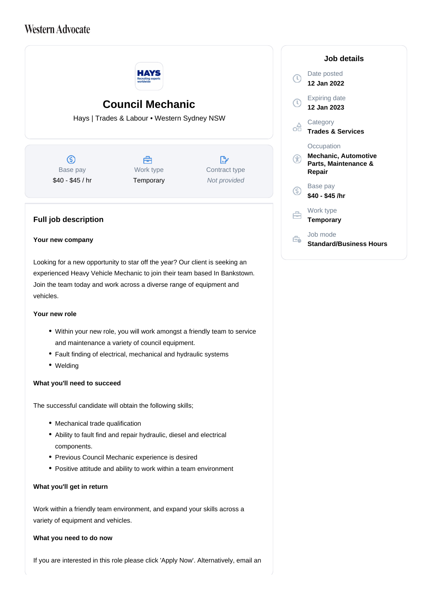# **Western Advocate**



## **Council Mechanic**

Hays | Trades & Labour • Western Sydney NSW

 $\circ$ Base pay \$40 - \$45 / hr



 $\mathbb{R}^n$ Contract type Not provided

### **Full job description**

#### **Your new company**

Looking for a new opportunity to star off the year? Our client is seeking an experienced Heavy Vehicle Mechanic to join their team based In Bankstown. Join the team today and work across a diverse range of equipment and vehicles.

#### **Your new role**

- Within your new role, you will work amongst a friendly team to service and maintenance a variety of council equipment.
- Fault finding of electrical, mechanical and hydraulic systems
- Welding

#### **What you'll need to succeed**

The successful candidate will obtain the following skills;

- Mechanical trade qualification
- Ability to fault find and repair hydraulic, diesel and electrical components.
- Previous Council Mechanic experience is desired
- Positive attitude and ability to work within a team environment

#### **What you'll get in return**

Work within a friendly team environment, and expand your skills across a variety of equipment and vehicles.

#### **What you need to do now**

If you are interested in this role please click 'Apply Now'. Alternatively, email an

| Job details                                                                 |
|-----------------------------------------------------------------------------|
| Date posted<br>12 Jan 2022                                                  |
| Expiring date<br>12 Jan 2023                                                |
| Category<br><b>Trades &amp; Services</b>                                    |
| Occupation<br><b>Mechanic, Automotive</b><br>Parts, Maintenance &<br>Repair |
| Base pay<br>\$40 - \$45 /hr                                                 |
| Work type<br><b>Temporary</b>                                               |
| Job mode<br><b>Standard/Business Hours</b>                                  |